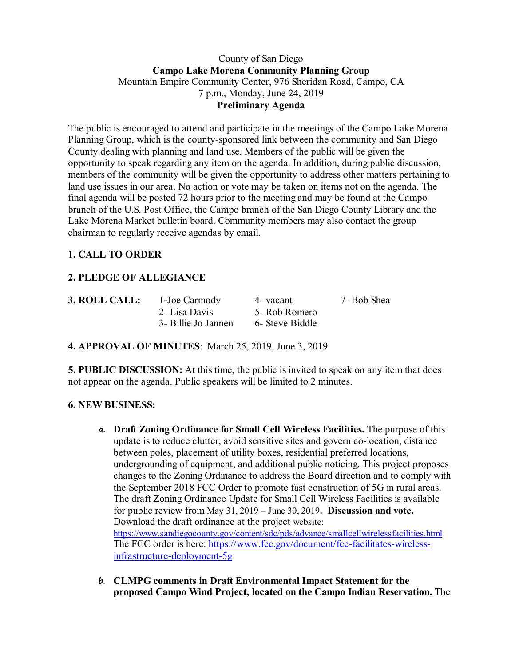#### County of San Diego **Campo Lake Morena Community Planning Group** Mountain Empire Community Center, 976 Sheridan Road, Campo, CA 7 p.m., Monday, June 24, 2019 **Preliminary Agenda**

The public is encouraged to attend and participate in the meetings of the Campo Lake Morena Planning Group, which is the county-sponsored link between the community and San Diego County dealing with planning and land use. Members of the public will be given the opportunity to speak regarding any item on the agenda. In addition, during public discussion, members of the community will be given the opportunity to address other matters pertaining to land use issues in our area. No action or vote may be taken on items not on the agenda. The final agenda will be posted 72 hours prior to the meeting and may be found at the Campo branch of the U.S. Post Office, the Campo branch of the San Diego County Library and the Lake Morena Market bulletin board. Community members may also contact the group chairman to regularly receive agendas by email.

# **1. CALL TO ORDER**

# **2. PLEDGE OF ALLEGIANCE**

| 3. ROLL CALL: | 1-Joe Carmody       | 4 - vacant      | 7- Bob Shea |
|---------------|---------------------|-----------------|-------------|
|               | 2- Lisa Davis       | 5- Rob Romero   |             |
|               | 3- Billie Jo Jannen | 6- Steve Biddle |             |

## **4. APPROVAL OF MINUTES**: March 25, 2019, June 3, 2019

**5. PUBLIC DISCUSSION:** At this time, the public is invited to speak on any item that does not appear on the agenda. Public speakers will be limited to 2 minutes.

## **6. NEW BUSINESS:**

- **a. Draft Zoning Ordinance for Small Cell Wireless Facilities.** The purpose of this update is to reduce clutter, avoid sensitive sites and govern co-location, distance between poles, placement of utility boxes, residential preferred locations, undergrounding of equipment, and additional public noticing. This project proposes changes to the Zoning Ordinance to address the Board direction and to comply with the September 2018 FCC Order to promote fast construction of 5G in rural areas. The draft Zoning Ordinance Update for Small Cell Wireless Facilities is available for public review from May 31, 2019 – June 30, 2019**. Discussion and vote.**  Download the draft ordinance at the project website: https://www.sandiegocounty.gov/content/sdc/pds/advance/smallcellwirelessfacilities.html The FCC order is here: https://www.fcc.gov/document/fcc-facilitates-wirelessinfrastructure-deployment-5g
- **b. CLMPG comments in Draft Environmental Impact Statement for the proposed Campo Wind Project, located on the Campo Indian Reservation.** The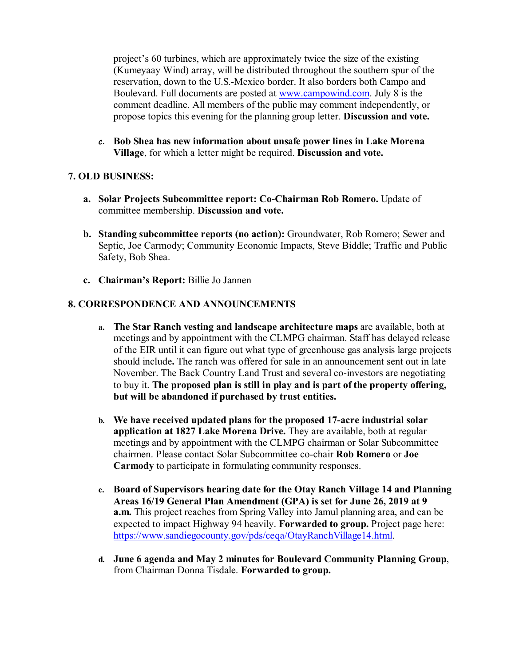project's 60 turbines, which are approximately twice the size of the existing (Kumeyaay Wind) array, will be distributed throughout the southern spur of the reservation, down to the U.S.-Mexico border. It also borders both Campo and Boulevard. Full documents are posted at www.campowind.com. July 8 is the comment deadline. All members of the public may comment independently, or propose topics this evening for the planning group letter. **Discussion and vote.**

**c. Bob Shea has new information about unsafe power lines in Lake Morena Village**, for which a letter might be required. **Discussion and vote.**

## **7. OLD BUSINESS:**

- **a. Solar Projects Subcommittee report: Co-Chairman Rob Romero.** Update of committee membership. **Discussion and vote.**
- **b. Standing subcommittee reports (no action):** Groundwater, Rob Romero; Sewer and Septic, Joe Carmody; Community Economic Impacts, Steve Biddle; Traffic and Public Safety, Bob Shea.
- **c. Chairman's Report:** Billie Jo Jannen

## **8. CORRESPONDENCE AND ANNOUNCEMENTS**

- **a. The Star Ranch vesting and landscape architecture maps** are available, both at meetings and by appointment with the CLMPG chairman. Staff has delayed release of the EIR until it can figure out what type of greenhouse gas analysis large projects should include**.** The ranch was offered for sale in an announcement sent out in late November. The Back Country Land Trust and several co-investors are negotiating to buy it. **The proposed plan is still in play and is part of the property offering, but will be abandoned if purchased by trust entities.**
- **b. We have received updated plans for the proposed 17-acre industrial solar application at 1827 Lake Morena Drive.** They are available, both at regular meetings and by appointment with the CLMPG chairman or Solar Subcommittee chairmen. Please contact Solar Subcommittee co-chair **Rob Romero** or **Joe Carmody** to participate in formulating community responses.
- **c. Board of Supervisors hearing date for the Otay Ranch Village 14 and Planning Areas 16/19 General Plan Amendment (GPA) is set for June 26, 2019 at 9 a.m.** This project reaches from Spring Valley into Jamul planning area, and can be expected to impact Highway 94 heavily. **Forwarded to group.** Project page here: https://www.sandiegocounty.gov/pds/ceqa/OtayRanchVillage14.html.
- **d. June 6 agenda and May 2 minutes for Boulevard Community Planning Group**, from Chairman Donna Tisdale. **Forwarded to group.**